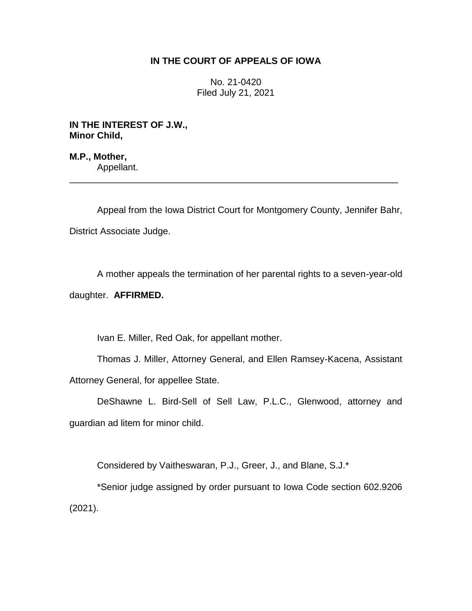# **IN THE COURT OF APPEALS OF IOWA**

No. 21-0420 Filed July 21, 2021

**IN THE INTEREST OF J.W., Minor Child,**

**M.P., Mother,** Appellant.

Appeal from the Iowa District Court for Montgomery County, Jennifer Bahr, District Associate Judge.

\_\_\_\_\_\_\_\_\_\_\_\_\_\_\_\_\_\_\_\_\_\_\_\_\_\_\_\_\_\_\_\_\_\_\_\_\_\_\_\_\_\_\_\_\_\_\_\_\_\_\_\_\_\_\_\_\_\_\_\_\_\_\_\_

A mother appeals the termination of her parental rights to a seven-year-old

daughter. **AFFIRMED.**

Ivan E. Miller, Red Oak, for appellant mother.

Thomas J. Miller, Attorney General, and Ellen Ramsey-Kacena, Assistant Attorney General, for appellee State.

DeShawne L. Bird-Sell of Sell Law, P.L.C., Glenwood, attorney and guardian ad litem for minor child.

Considered by Vaitheswaran, P.J., Greer, J., and Blane, S.J.\*

\*Senior judge assigned by order pursuant to Iowa Code section 602.9206 (2021).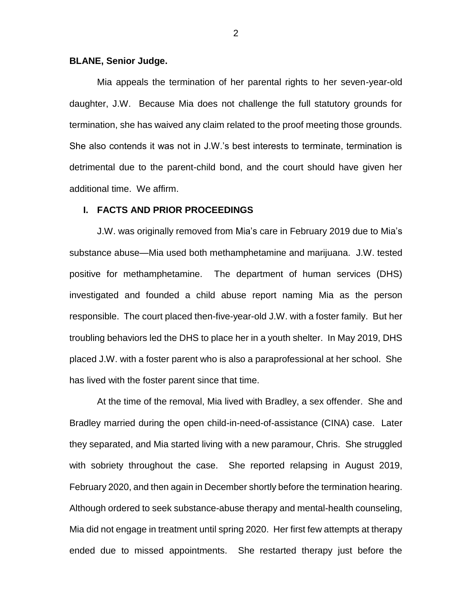### **BLANE, Senior Judge.**

Mia appeals the termination of her parental rights to her seven-year-old daughter, J.W. Because Mia does not challenge the full statutory grounds for termination, she has waived any claim related to the proof meeting those grounds. She also contends it was not in J.W.'s best interests to terminate, termination is detrimental due to the parent-child bond, and the court should have given her additional time. We affirm.

## **I. FACTS AND PRIOR PROCEEDINGS**

J.W. was originally removed from Mia's care in February 2019 due to Mia's substance abuse—Mia used both methamphetamine and marijuana. J.W. tested positive for methamphetamine. The department of human services (DHS) investigated and founded a child abuse report naming Mia as the person responsible. The court placed then-five-year-old J.W. with a foster family. But her troubling behaviors led the DHS to place her in a youth shelter. In May 2019, DHS placed J.W. with a foster parent who is also a paraprofessional at her school. She has lived with the foster parent since that time.

At the time of the removal, Mia lived with Bradley, a sex offender. She and Bradley married during the open child-in-need-of-assistance (CINA) case. Later they separated, and Mia started living with a new paramour, Chris. She struggled with sobriety throughout the case. She reported relapsing in August 2019, February 2020, and then again in December shortly before the termination hearing. Although ordered to seek substance-abuse therapy and mental-health counseling, Mia did not engage in treatment until spring 2020. Her first few attempts at therapy ended due to missed appointments. She restarted therapy just before the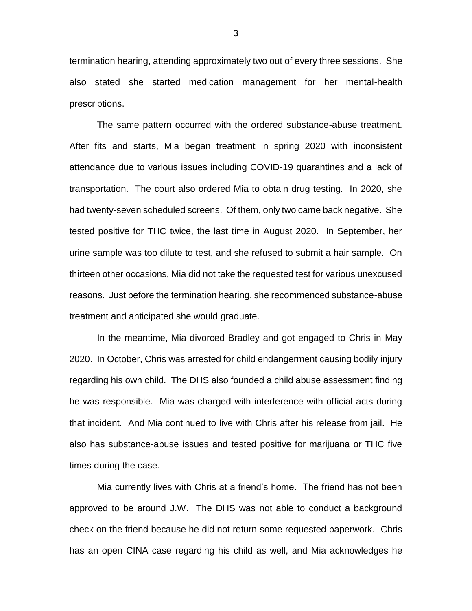termination hearing, attending approximately two out of every three sessions. She also stated she started medication management for her mental-health prescriptions.

The same pattern occurred with the ordered substance-abuse treatment. After fits and starts, Mia began treatment in spring 2020 with inconsistent attendance due to various issues including COVID-19 quarantines and a lack of transportation. The court also ordered Mia to obtain drug testing. In 2020, she had twenty-seven scheduled screens. Of them, only two came back negative. She tested positive for THC twice, the last time in August 2020. In September, her urine sample was too dilute to test, and she refused to submit a hair sample. On thirteen other occasions, Mia did not take the requested test for various unexcused reasons. Just before the termination hearing, she recommenced substance-abuse treatment and anticipated she would graduate.

In the meantime, Mia divorced Bradley and got engaged to Chris in May 2020. In October, Chris was arrested for child endangerment causing bodily injury regarding his own child. The DHS also founded a child abuse assessment finding he was responsible. Mia was charged with interference with official acts during that incident. And Mia continued to live with Chris after his release from jail. He also has substance-abuse issues and tested positive for marijuana or THC five times during the case.

Mia currently lives with Chris at a friend's home. The friend has not been approved to be around J.W. The DHS was not able to conduct a background check on the friend because he did not return some requested paperwork. Chris has an open CINA case regarding his child as well, and Mia acknowledges he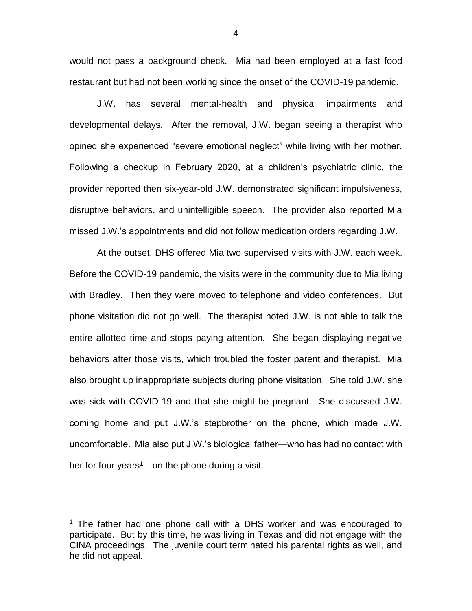would not pass a background check. Mia had been employed at a fast food restaurant but had not been working since the onset of the COVID-19 pandemic.

J.W. has several mental-health and physical impairments and developmental delays. After the removal, J.W. began seeing a therapist who opined she experienced "severe emotional neglect" while living with her mother. Following a checkup in February 2020, at a children's psychiatric clinic, the provider reported then six-year-old J.W. demonstrated significant impulsiveness, disruptive behaviors, and unintelligible speech. The provider also reported Mia missed J.W.'s appointments and did not follow medication orders regarding J.W.

At the outset, DHS offered Mia two supervised visits with J.W. each week. Before the COVID-19 pandemic, the visits were in the community due to Mia living with Bradley. Then they were moved to telephone and video conferences. But phone visitation did not go well. The therapist noted J.W. is not able to talk the entire allotted time and stops paying attention. She began displaying negative behaviors after those visits, which troubled the foster parent and therapist. Mia also brought up inappropriate subjects during phone visitation. She told J.W. she was sick with COVID-19 and that she might be pregnant. She discussed J.W. coming home and put J.W.'s stepbrother on the phone, which made J.W. uncomfortable. Mia also put J.W.'s biological father—who has had no contact with her for four years $1$ —on the phone during a visit.

 $\overline{a}$ 

 $1$  The father had one phone call with a DHS worker and was encouraged to participate. But by this time, he was living in Texas and did not engage with the CINA proceedings. The juvenile court terminated his parental rights as well, and he did not appeal.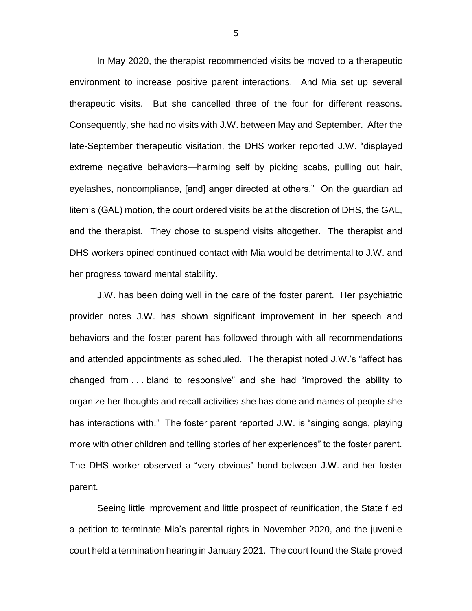In May 2020, the therapist recommended visits be moved to a therapeutic environment to increase positive parent interactions. And Mia set up several therapeutic visits. But she cancelled three of the four for different reasons. Consequently, she had no visits with J.W. between May and September. After the late-September therapeutic visitation, the DHS worker reported J.W. "displayed extreme negative behaviors—harming self by picking scabs, pulling out hair, eyelashes, noncompliance, [and] anger directed at others." On the guardian ad litem's (GAL) motion, the court ordered visits be at the discretion of DHS, the GAL, and the therapist. They chose to suspend visits altogether. The therapist and DHS workers opined continued contact with Mia would be detrimental to J.W. and her progress toward mental stability.

J.W. has been doing well in the care of the foster parent. Her psychiatric provider notes J.W. has shown significant improvement in her speech and behaviors and the foster parent has followed through with all recommendations and attended appointments as scheduled. The therapist noted J.W.'s "affect has changed from . . . bland to responsive" and she had "improved the ability to organize her thoughts and recall activities she has done and names of people she has interactions with." The foster parent reported J.W. is "singing songs, playing more with other children and telling stories of her experiences" to the foster parent. The DHS worker observed a "very obvious" bond between J.W. and her foster parent.

Seeing little improvement and little prospect of reunification, the State filed a petition to terminate Mia's parental rights in November 2020, and the juvenile court held a termination hearing in January 2021. The court found the State proved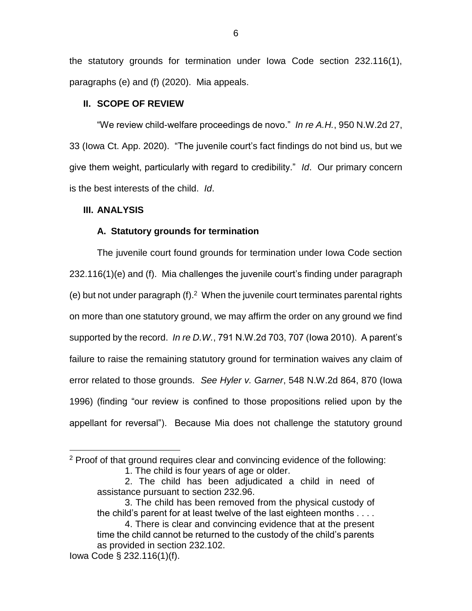the statutory grounds for termination under Iowa Code section 232.116(1), paragraphs (e) and (f) (2020). Mia appeals.

# **II. SCOPE OF REVIEW**

"We review child-welfare proceedings de novo." *In re A.H.*, 950 N.W.2d 27, 33 (Iowa Ct. App. 2020). "The juvenile court's fact findings do not bind us, but we give them weight, particularly with regard to credibility." *Id*. Our primary concern is the best interests of the child. *Id*.

### **III. ANALYSIS**

### **A. Statutory grounds for termination**

The juvenile court found grounds for termination under Iowa Code section 232.116(1)(e) and (f). Mia challenges the juvenile court's finding under paragraph  $(e)$  but not under paragraph  $(f)$ . When the juvenile court terminates parental rights on more than one statutory ground, we may affirm the order on any ground we find supported by the record. *In re D.W.*, 791 N.W.2d 703, 707 (Iowa 2010). A parent's failure to raise the remaining statutory ground for termination waives any claim of error related to those grounds. *See Hyler v. Garner*, 548 N.W.2d 864, 870 (Iowa 1996) (finding "our review is confined to those propositions relied upon by the appellant for reversal"). Because Mia does not challenge the statutory ground

 $\overline{a}$ 

<sup>2</sup> Proof of that ground requires clear and convincing evidence of the following: 1. The child is four years of age or older.

<sup>2.</sup> The child has been adjudicated a child in need of assistance pursuant to section 232.96.

<sup>3.</sup> The child has been removed from the physical custody of the child's parent for at least twelve of the last eighteen months . . . .

<sup>4.</sup> There is clear and convincing evidence that at the present time the child cannot be returned to the custody of the child's parents as provided in section 232.102.

Iowa Code § 232.116(1)(f).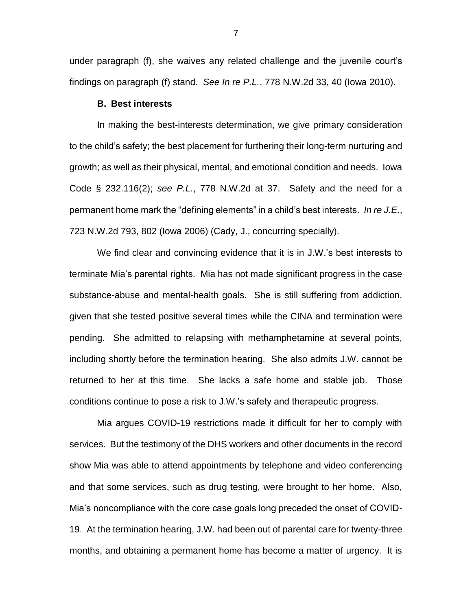under paragraph (f), she waives any related challenge and the juvenile court's findings on paragraph (f) stand. *See In re P.L.*, 778 N.W.2d 33, 40 (Iowa 2010).

#### **B. Best interests**

In making the best-interests determination, we give primary consideration to the child's safety; the best placement for furthering their long-term nurturing and growth; as well as their physical, mental, and emotional condition and needs. Iowa Code § 232.116(2); *see P.L.*, 778 N.W.2d at 37. Safety and the need for a permanent home mark the "defining elements" in a child's best interests. *In re J.E.*, 723 N.W.2d 793, 802 (Iowa 2006) (Cady, J., concurring specially).

We find clear and convincing evidence that it is in J.W.'s best interests to terminate Mia's parental rights. Mia has not made significant progress in the case substance-abuse and mental-health goals. She is still suffering from addiction, given that she tested positive several times while the CINA and termination were pending. She admitted to relapsing with methamphetamine at several points, including shortly before the termination hearing. She also admits J.W. cannot be returned to her at this time. She lacks a safe home and stable job. Those conditions continue to pose a risk to J.W.'s safety and therapeutic progress.

Mia argues COVID-19 restrictions made it difficult for her to comply with services. But the testimony of the DHS workers and other documents in the record show Mia was able to attend appointments by telephone and video conferencing and that some services, such as drug testing, were brought to her home. Also, Mia's noncompliance with the core case goals long preceded the onset of COVID-19. At the termination hearing, J.W. had been out of parental care for twenty-three months, and obtaining a permanent home has become a matter of urgency. It is

7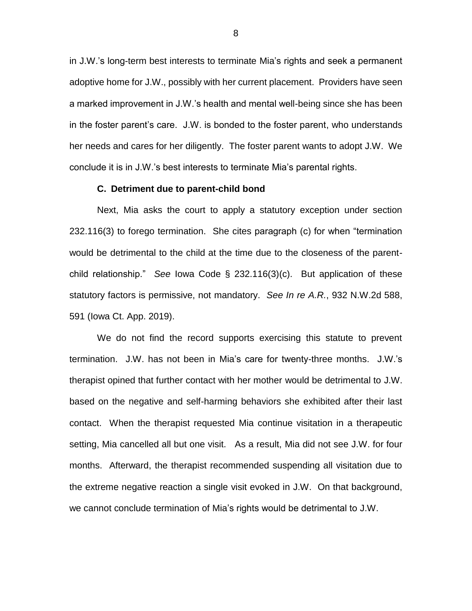in J.W.'s long-term best interests to terminate Mia's rights and seek a permanent adoptive home for J.W., possibly with her current placement. Providers have seen a marked improvement in J.W.'s health and mental well-being since she has been in the foster parent's care. J.W. is bonded to the foster parent, who understands her needs and cares for her diligently. The foster parent wants to adopt J.W. We conclude it is in J.W.'s best interests to terminate Mia's parental rights.

#### **C. Detriment due to parent-child bond**

Next, Mia asks the court to apply a statutory exception under section 232.116(3) to forego termination. She cites paragraph (c) for when "termination would be detrimental to the child at the time due to the closeness of the parentchild relationship." *See* Iowa Code § 232.116(3)(c). But application of these statutory factors is permissive, not mandatory. *See In re A.R.*, 932 N.W.2d 588, 591 (Iowa Ct. App. 2019).

We do not find the record supports exercising this statute to prevent termination. J.W. has not been in Mia's care for twenty-three months. J.W.'s therapist opined that further contact with her mother would be detrimental to J.W. based on the negative and self-harming behaviors she exhibited after their last contact. When the therapist requested Mia continue visitation in a therapeutic setting, Mia cancelled all but one visit. As a result, Mia did not see J.W. for four months. Afterward, the therapist recommended suspending all visitation due to the extreme negative reaction a single visit evoked in J.W. On that background, we cannot conclude termination of Mia's rights would be detrimental to J.W.

8